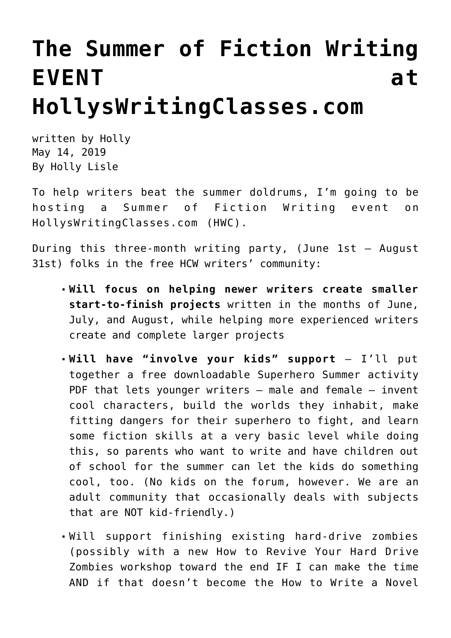## **[The Summer of Fiction Writing](https://hollylisle.com/the-summer-of-fiction-writing-event-at-hollyswritingclasses-com/) [EVENT at](https://hollylisle.com/the-summer-of-fiction-writing-event-at-hollyswritingclasses-com/) [HollysWritingClasses.com](https://hollylisle.com/the-summer-of-fiction-writing-event-at-hollyswritingclasses-com/)**

written by Holly May 14, 2019 [By Holly Lisle](https://hollylisle.com)

To help writers beat the summer doldrums, I'm going to be hosting a Summer of Fiction Writing event on [HollysWritingClasses.com \(HWC\).](https://hollyswritingclasses.com)

During this three-month writing party, (June 1st – August 31st) folks in the free HCW writers' community:

- **Will focus on helping newer writers create smaller start-to-finish projects** written in the months of June, July, and August, while helping more experienced writers create and complete larger projects
- **Will have "involve your kids" support** I'll put together a free downloadable Superhero Summer activity PDF that lets younger writers - male and female - invent cool characters, build the worlds they inhabit, make fitting dangers for their superhero to fight, and learn some fiction skills at a very basic level while doing this, so parents who want to write and have children out of school for the summer can let the kids do something cool, too. (No kids on the forum, however. We are an adult community that occasionally deals with subjects that are NOT kid-friendly.)
- Will support finishing existing hard-drive zombies (possibly with a new How to Revive Your Hard Drive Zombies workshop toward the end IF I can make the time AND if that doesn't become the How to Write a Novel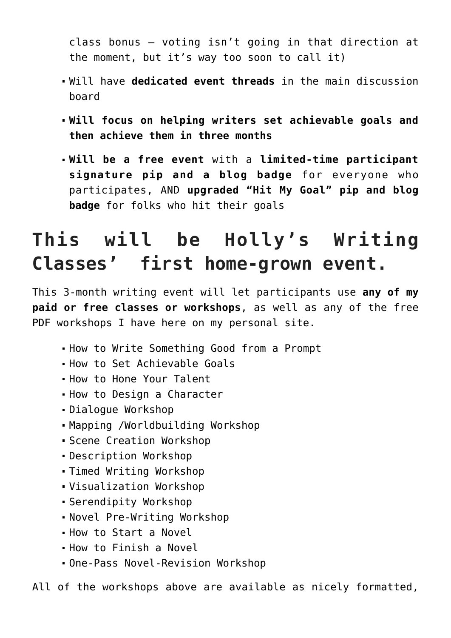class bonus — voting isn't going in that direction at the moment, but it's way too soon to call it)

- Will have **dedicated event threads** in the main discussion board
- **Will focus on helping writers set achievable goals and then achieve them in three months**
- **Will be a free event** with a **limited-time participant signature pip and a blog badge** for everyone who participates, AND **upgraded "Hit My Goal" pip and blog badge** for folks who hit their goals

## **This will be Holly's Writing Classes' first home-grown event.**

This 3-month writing event will let participants use **any of my paid or free classes or workshops**, as well as any of the free PDF workshops I have here on my personal site.

- [How to Write Something Good from a Prompt](https://hollylisle.com/how-to-write-something-good-from-a-prompt/)
- [How to Set Achievable Goals](https://hollylisle.com/how-to-get-there-from-here-the-magic-of-goals/)
- [How to Hone Your Talent](https://hollylisle.com/honing-your-talent-a-workshop/)
- . [How to Design a Character](https://hollylisle.com/the-character-workshop-designing-a-life/)
- [Dialogue Workshop](https://hollylisle.com/dialogue-workshop/)
- [Mapping /Worldbuilding Workshop](https://hollylisle.com/maps-workshop-developing-the-fictional-world-through-mapping/)
- [Scene Creation Workshop](https://hollylisle.com/scene-creation-workshop-writing-scenes-that-move-your-story-forward/)
- [Description Workshop](https://hollylisle.com/the-description-workshop/)
- [Timed Writing Workshop](https://hollylisle.com/timed-writing-workshop-freeing-up-the-subconscious-in-writing/)
- [Visualization Workshop](https://hollylisle.com/visualization-for-writers/)
- [Serendipity Workshop](https://hollylisle.com/lost-on-the-border-at-twilight/)
- [Novel Pre-Writing Workshop](https://hollylisle.com/novel-pre-writing-workshop/)
- [How to Start a Novel](https://hollylisle.com/how-to-start-a-novel/)
- [How to Finish a Novel](https://hollylisle.com/how-to-finish-a-novel/)
- [One-Pass Novel-Revision Workshop](https://hollylisle.com/one-pass-manuscript-revision-from-first-draft-to-last-in-one-cycle/)

All of the workshops above are available as nicely formatted,